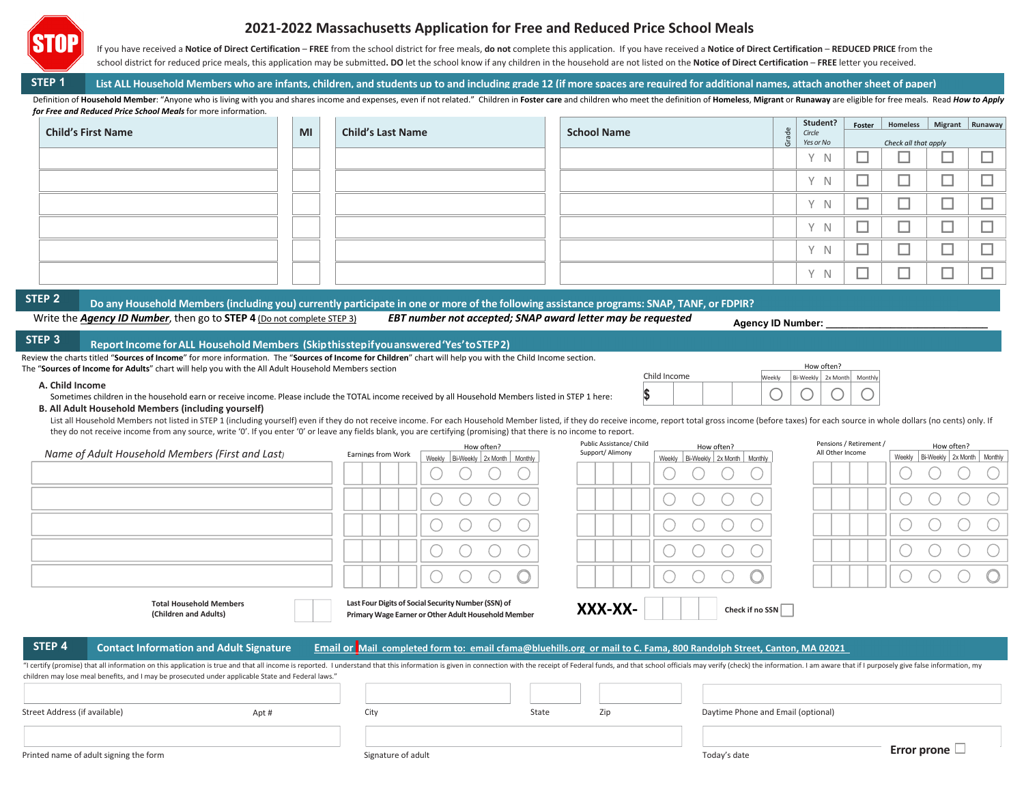

# **2021‐2022 Massachusetts Application for Free and Reduced Price School Meals**

If you have received a Notice of Direct Certification – FREE from the school district for free meals, do not complete this application. If you have received a Notice of Direct Certification – REDUCED PRICE from the school district for reduced price meals, this application may be submitted. DO let the school know if any children in the household are not listed on the Notice of Direct Certification - FREE letter you received.

**STEP 1**1 List ALL Household Members who are infants, children, and students up to and including grade 12 (if more spaces are required for additional names, attach another sheet of paper)

Definition of Household Member: "Anyone who is living with you and shares income and expenses, even if not related." Children in Foster care and children who meet the definition of Homeless, Migrant or Runaway are eligible *for Free and Reduced Price School Meals* for more information.

|                           |    |                          |                    | $\alpha$ | Student?                       | <b>Foster</b> | Homeless   Migrant   Runaway |             |   |
|---------------------------|----|--------------------------|--------------------|----------|--------------------------------|---------------|------------------------------|-------------|---|
| <b>Child's First Name</b> | MI | <b>Child's Last Name</b> | <b>School Name</b> |          | Circle<br>ලි<br>ප<br>Yes or No |               | Check all that apply         |             |   |
|                           |    |                          |                    |          | v<br>-N                        | _             | _                            | ـــ         | ⊓ |
|                           |    |                          |                    |          | v<br><sup>N</sup>              | --<br>_       | _                            | ـــ         |   |
|                           |    |                          |                    |          | v<br>- N                       | _             |                              | --<br>ـــ   |   |
|                           |    |                          |                    |          | v<br><sup>N</sup>              | _             |                              | ـــ         |   |
|                           |    |                          |                    |          | $\vee$<br><sup>N</sup>         | _             |                              | --<br>ـــ   |   |
|                           |    |                          |                    |          | v<br>N                         |               |                              | $\sim$<br>_ |   |

**STEP 2**

## <sup>2</sup> Do any Household Members (including you) currently participate in one or more of the following assistance programs: SNAP, TANF, or FDPIR?

Write the Agency ID Number, then go to STEP 4 (Do not complete STEP 3)

EBT number not accepted; SNAP award letter may be requested

**Agency ID Number:** 

How often? Veekly Bi-Weekly 2x Month Monthly

 $\begin{array}{c|c|c|c|c|c|c|c} \hline \multicolumn{3}{c|}{\bigcirc} & \multicolumn{3}{c|}{\bigcirc} & \multicolumn{3}{c|}{\bigcirc} & \multicolumn{3}{c|}{\bigcirc} & \multicolumn{3}{c|}{\bigcirc} \end{array}$ 

Child Income

**\$** 

### **STEP 3ReportIncome forALL Household Members (Skipthisstepifyouanswered'Yes'toSTEP2)**

|                                                                                                     |  | Review the charts titled "Sources of Income" for more information. The "Sources of Income for Children" chart will help you with the Child Income section. |
|-----------------------------------------------------------------------------------------------------|--|------------------------------------------------------------------------------------------------------------------------------------------------------------|
| The "Sources of Income for Adults" chart will help you with the All Adult Household Members section |  |                                                                                                                                                            |

### **A. Child Income**

| Sometimes children in the household earn or receive income. Please include the TOTAL income received by all Household Members listed in STEP 1 here: |
|------------------------------------------------------------------------------------------------------------------------------------------------------|
|------------------------------------------------------------------------------------------------------------------------------------------------------|

## **B. All Adult Household Members (including yourself)**

List all Household Members not listed in STEP 1 (including yourself) even if they do not receive income. For each Household Member listed, if they do receive income, report total gross income (before taxes) for each source they do not receive income from any source, write '0'. If you enter '0' or leave any fields blank, you are certifying (promising) that there is no income to report.

|                                        |                                                                                                                                                                                                                                                                                                                                     |                    | How often?                                                                                                 | Public Assistance/ Child | How often?                                                                                                           | Pensions / Retirement / | How often?                              |  |
|----------------------------------------|-------------------------------------------------------------------------------------------------------------------------------------------------------------------------------------------------------------------------------------------------------------------------------------------------------------------------------------|--------------------|------------------------------------------------------------------------------------------------------------|--------------------------|----------------------------------------------------------------------------------------------------------------------|-------------------------|-----------------------------------------|--|
|                                        | Name of Adult Household Members (First and Last)                                                                                                                                                                                                                                                                                    | Earnings from Work | Weekly Bi-Weekly 2x Month Monthly                                                                          | Support/ Alimony         | Weekly   Bi-Weekly   2x Month   Monthly                                                                              | All Other Income        | Weekly   Bi-Weekly   2x Month   Monthly |  |
|                                        |                                                                                                                                                                                                                                                                                                                                     |                    |                                                                                                            |                          |                                                                                                                      |                         |                                         |  |
|                                        |                                                                                                                                                                                                                                                                                                                                     |                    |                                                                                                            |                          |                                                                                                                      |                         |                                         |  |
|                                        |                                                                                                                                                                                                                                                                                                                                     |                    |                                                                                                            |                          |                                                                                                                      |                         |                                         |  |
|                                        |                                                                                                                                                                                                                                                                                                                                     |                    |                                                                                                            |                          |                                                                                                                      |                         |                                         |  |
|                                        |                                                                                                                                                                                                                                                                                                                                     |                    |                                                                                                            |                          |                                                                                                                      |                         |                                         |  |
|                                        | <b>Total Household Members</b><br>(Children and Adults)                                                                                                                                                                                                                                                                             |                    | Last Four Digits of Social Security Number (SSN) of<br>Primary Wage Earner or Other Adult Household Member | XXX-XX-                  | Check if no SSN                                                                                                      |                         |                                         |  |
| STEP 4                                 | <b>Contact Information and Adult Signature</b>                                                                                                                                                                                                                                                                                      |                    |                                                                                                            |                          | Email or Mail completed form to: email cfama@bluehills.org or mail to C. Fama, 800 Randolph Street, Canton, MA 02021 |                         |                                         |  |
|                                        | "I certify (promise) that all information on this application is true and that all income is reported. I understand that this information is given in connection with the receipt of Federal funds, and that school officials<br>children may lose meal benefits, and I may be prosecuted under applicable State and Federal laws." |                    |                                                                                                            |                          |                                                                                                                      |                         |                                         |  |
|                                        |                                                                                                                                                                                                                                                                                                                                     |                    |                                                                                                            |                          |                                                                                                                      |                         |                                         |  |
| Street Address (if available)          | Apt#                                                                                                                                                                                                                                                                                                                                | City               |                                                                                                            | Zip<br>State             | Daytime Phone and Email (optional)                                                                                   |                         |                                         |  |
| Printed name of adult signing the form |                                                                                                                                                                                                                                                                                                                                     | Signature of adult |                                                                                                            |                          | Today's date                                                                                                         |                         | Error prone $\Box$                      |  |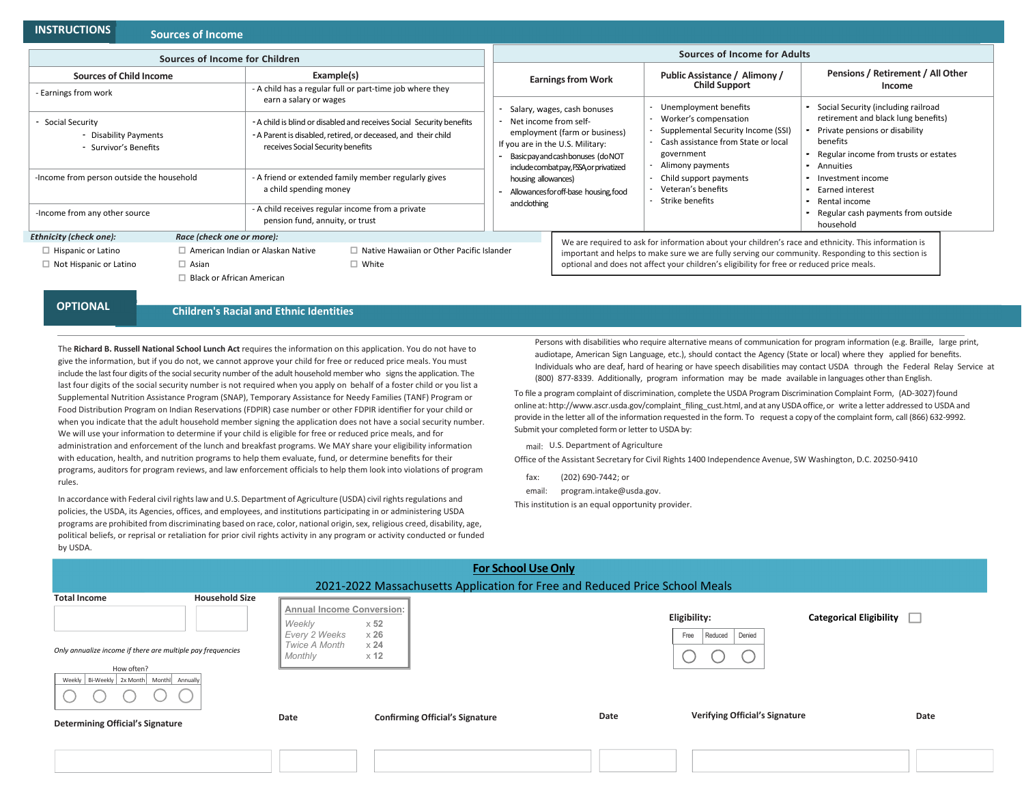### **INSTRUCTIONSSources**

## **of Income**

|                                                                                                                                                                       | Sources of Income                |                                                                                                                                                                                                                                                                                                                                                    |                                                                                     |                                                                                                                                                                                                                                                                                                         |                                                                                                         |                                                                                                                                      |                                                                                                                                             |
|-----------------------------------------------------------------------------------------------------------------------------------------------------------------------|----------------------------------|----------------------------------------------------------------------------------------------------------------------------------------------------------------------------------------------------------------------------------------------------------------------------------------------------------------------------------------------------|-------------------------------------------------------------------------------------|---------------------------------------------------------------------------------------------------------------------------------------------------------------------------------------------------------------------------------------------------------------------------------------------------------|---------------------------------------------------------------------------------------------------------|--------------------------------------------------------------------------------------------------------------------------------------|---------------------------------------------------------------------------------------------------------------------------------------------|
| Sources of Income for Children                                                                                                                                        |                                  |                                                                                                                                                                                                                                                                                                                                                    | Sources of Income for Adults                                                        |                                                                                                                                                                                                                                                                                                         |                                                                                                         |                                                                                                                                      |                                                                                                                                             |
| <b>Sources of Child Income</b>                                                                                                                                        |                                  | Example(s)                                                                                                                                                                                                                                                                                                                                         |                                                                                     | <b>Earnings from Work</b><br>Salary, wages, cash bonuses                                                                                                                                                                                                                                                |                                                                                                         | Public Assistance / Alimony /<br><b>Child Support</b>                                                                                | Pensions / Retirement / All Other<br>Income                                                                                                 |
| Earnings from work<br>Social Security<br>- Disability Payments<br>- Survivor's Benefits<br>-Income from person outside the household<br>-Income from any other source |                                  | - A child has a regular full or part-time job where they<br>earn a salary or wages<br>- A child is blind or disabled and receives Social Security benefits<br>- A Parent is disabled, retired, or deceased, and their child<br>receives Social Security benefits<br>- A friend or extended family member regularly gives<br>a child spending money |                                                                                     |                                                                                                                                                                                                                                                                                                         |                                                                                                         | - Unemployment benefits                                                                                                              | - Social Security (including railroad                                                                                                       |
|                                                                                                                                                                       |                                  |                                                                                                                                                                                                                                                                                                                                                    |                                                                                     | - Net income from self-                                                                                                                                                                                                                                                                                 | employment (farm or business)<br>If you are in the U.S. Military:<br>Basic pay and cash bonuses (do NOT | Worker's compensation<br>Supplemental Security Income (SSI)<br>Cash assistance from State or local<br>government<br>Alimony payments | retirement and black lung benefits)<br>Private pensions or disability<br>benefits<br>- Regular income from trusts or estates<br>- Annuities |
|                                                                                                                                                                       |                                  |                                                                                                                                                                                                                                                                                                                                                    |                                                                                     | include combat pay, FSSA, or privatized<br>housing allowances)<br>Allowancesfor off-base housing, food<br>andclothing                                                                                                                                                                                   |                                                                                                         | Child support payments<br>Veteran's benefits<br>Strike benefits                                                                      | • Investment income<br>- Earned interest<br>- Rental income                                                                                 |
|                                                                                                                                                                       |                                  |                                                                                                                                                                                                                                                                                                                                                    | - A child receives regular income from a private<br>pension fund, annuity, or trust |                                                                                                                                                                                                                                                                                                         |                                                                                                         |                                                                                                                                      | - Regular cash payments from outside<br>household                                                                                           |
| <b>Ethnicity (check one):</b>                                                                                                                                         | Race (check one or more):        |                                                                                                                                                                                                                                                                                                                                                    |                                                                                     |                                                                                                                                                                                                                                                                                                         |                                                                                                         |                                                                                                                                      |                                                                                                                                             |
| $\Box$ Hispanic or Latino                                                                                                                                             |                                  | $\Box$ American Indian or Alaskan Native                                                                                                                                                                                                                                                                                                           | $\Box$ Native Hawaiian or Other Pacific Islander                                    | We are required to ask for information about your children's race and ethnicity. This information is<br>important and helps to make sure we are fully serving our community. Responding to this section is<br>optional and does not affect your children's eligibility for free or reduced price meals. |                                                                                                         |                                                                                                                                      |                                                                                                                                             |
| $\Box$ Not Hispanic or Latino                                                                                                                                         | $\Box$ Asian                     |                                                                                                                                                                                                                                                                                                                                                    | $\Box$ White                                                                        |                                                                                                                                                                                                                                                                                                         |                                                                                                         |                                                                                                                                      |                                                                                                                                             |
|                                                                                                                                                                       | $\Box$ Black or African American |                                                                                                                                                                                                                                                                                                                                                    |                                                                                     |                                                                                                                                                                                                                                                                                                         |                                                                                                         |                                                                                                                                      |                                                                                                                                             |

**OPTIONAL**

**Children's Racial and Ethnic Identities**

The **Richard B. Russell National School Lunch Act** requires the information on this application. You do not have to give the information, but if you do not, we cannot approve your child for free or reduced price meals. You must include the last four digits of the social security number of the adult household member who signs the application. The last four digits of the social security number is not required when you apply on behalf of <sup>a</sup> foster child or you list <sup>a</sup> Supplemental Nutrition Assistance Program (SNAP), Temporary Assistance for Needy Families (TANF) Program or Food Distribution Program on Indian Reservations (FDPIR) case number or other FDPIR identifier for your child or when you indicate that the adult household member signing the application does not have <sup>a</sup> social security number. We will use your information to determine if your child is eligible for free or reduced price meals, and for administration and enforcement of the lunch and breakfast programs. We MAY share your eligibility information with education, health, and nutrition programs to help them evaluate, fund, or determine benefits for their programs, auditors for program reviews, and law enforcement officials to help them look into violations of program rules.

In accordance with Federal civil rights law and U.S. Department of Agriculture (USDA) civil rights regulations and policies, the USDA, its Agencies, offices, and employees, and institutions participating in or administering USDA programs are prohibited from discriminating based on race, color, national origin, sex, religious creed, disability, age, political beliefs, or reprisal or retaliation for prior civil rights activity in any program or activity conducted or funded by USDA.

Persons with disabilities who require alternative means of communication for program information (e.g. Braille, large print, audiotape, American Sign Language, etc.), should contact the Agency (State or local) where they applied for benefits. Individuals who are deaf, hard of hearing or have speech disabilities may contact USDA through the Federal Relay Service at (800) 877‐8339. Additionally, program information may be made available in languages other than English.

To file <sup>a</sup> program complaint of discrimination, complete the USDA Program Discrimination Complaint Form, (AD‐3027)found online at: http://www.ascr.usda.gov/complaint\_filing\_cust.html, and at any USDA office, or write a letter addressed to USDA and provide in the letter all of the information requested in the form. To request <sup>a</sup> copy of the complaint form, call (866) 632‐9992. Submit your completed form or letter to USDA by:

mail: U.S. Department of Agriculture

Office of the Assistant Secretary for Civil Rights 1400 Independence Avenue, SW Washington, D.C. 20250‐9410

- fax:(202) 690‐7442; or
- email:program.intake@usda.gov.

This institution is an equal opportunity provider.

| <b>For School Use Only</b>                                                                                                    |                                                                                           |                                        |      |                                           |                                |  |  |  |  |
|-------------------------------------------------------------------------------------------------------------------------------|-------------------------------------------------------------------------------------------|----------------------------------------|------|-------------------------------------------|--------------------------------|--|--|--|--|
| 2021-2022 Massachusetts Application for Free and Reduced Price School Meals                                                   |                                                                                           |                                        |      |                                           |                                |  |  |  |  |
| <b>Total Income</b><br><b>Household Size</b>                                                                                  | <b>Annual Income Conversion:</b><br>Weekly<br>$\times 52$<br>$\times 26$<br>Every 2 Weeks |                                        |      | Eligibility:<br>Denied<br>Free<br>Reduced | <b>Categorical Eligibility</b> |  |  |  |  |
| Only annualize income if there are multiple pay frequencies<br>How often?<br>Weekly   Bi-Weekly   2x Month   Month   Annually | Twice A Month<br>$\times 24$<br>Monthly<br>$\times$ 12                                    |                                        |      |                                           |                                |  |  |  |  |
| <b>Determining Official's Signature</b>                                                                                       | Date                                                                                      | <b>Confirming Official's Signature</b> | Date | Verifying Official's Signature            | Date                           |  |  |  |  |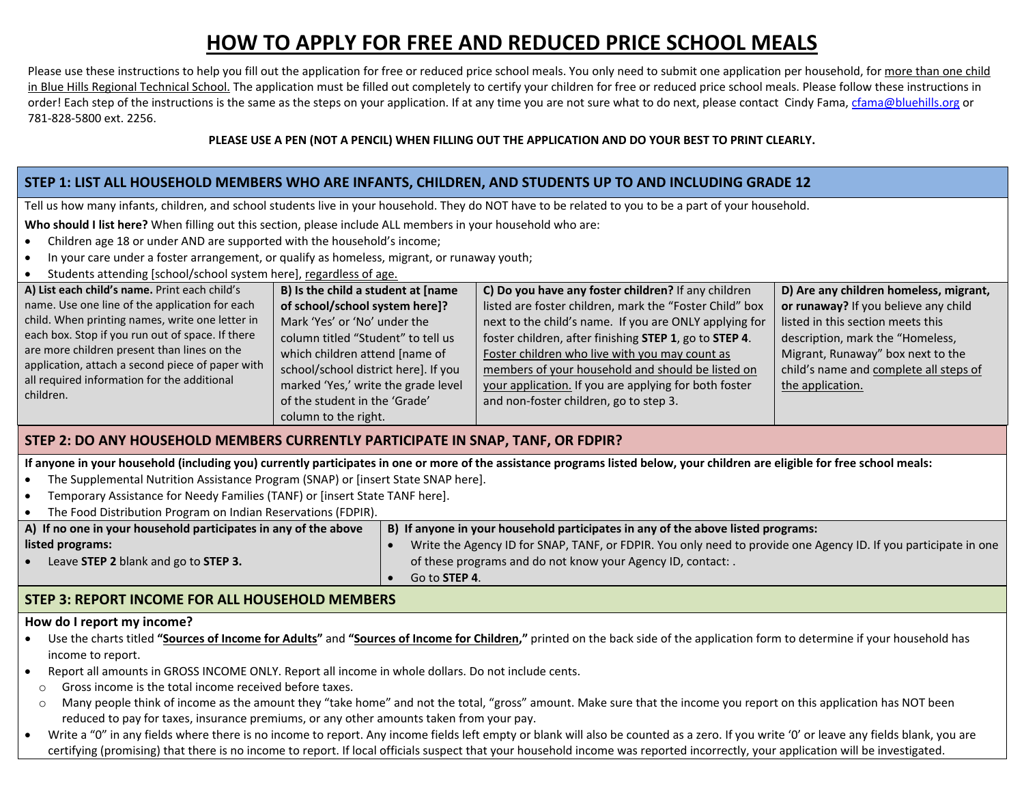# **HOW TO APPLY FOR FREE AND REDUCED PRICE SCHOOL MEALS**

Please use these instructions to help you fill out the application for free or reduced price school meals. You only need to submit one application per household, for <u>more than one child</u> in Blue Hills Regional Technical School. The application must be filled out completely to certify your children for free or reduced price school meals. Please follow these instructions in order! Each step of the instructions is the same as the steps on your application. If at any time you are not sure what to do next, please contact Cindy Fama, cfama@bluehills.org or 781‐828‐5800 ext. 2256.

## PLEASE USE A PEN (NOT A PENCIL) WHEN FILLING OUT THE APPLICATION AND DO YOUR BEST TO PRINT CLEARLY.

# STEP 1: LIST ALL HOUSEHOLD MEMBERS WHO ARE INFANTS, CHILDREN, AND STUDENTS UP TO AND INCLUDING GRADE 12

Tell us how many infants, children, and school students live in your household. They do NOT have to be related to you to be <sup>a</sup> part of your household.

**Who should I list here?** When filling out this section, please include ALL members in your household who are:

- $\bullet$ Children age 18 or under AND are supported with the household's income;
- $\bullet$ In your care under <sup>a</sup> foster arrangement, or qualify as homeless, migrant, or runaway youth;
- 0 Students attending [school/school system here], regardless of age.

| A) List each child's name. Print each child's    | B) Is the child a student at [name   | C) Do you have any foster children? If any children     | D) Are any children homeless, migrant, |
|--------------------------------------------------|--------------------------------------|---------------------------------------------------------|----------------------------------------|
| name. Use one line of the application for each   | of school/school system here]?       | listed are foster children, mark the "Foster Child" box | or runaway? If you believe any child   |
| child. When printing names, write one letter in  | Mark 'Yes' or 'No' under the         | next to the child's name. If you are ONLY applying for  | listed in this section meets this      |
| each box. Stop if you run out of space. If there | column titled "Student" to tell us   | foster children, after finishing STEP 1, go to STEP 4.  | description, mark the "Homeless,       |
| are more children present than lines on the      | which children attend [name of       | Foster children who live with you may count as          | Migrant, Runaway" box next to the      |
| application, attach a second piece of paper with | school/school district here]. If you | members of your household and should be listed on       | child's name and complete all steps of |
| all required information for the additional      | marked 'Yes,' write the grade level  | your application. If you are applying for both foster   | the application.                       |
| children.                                        | of the student in the 'Grade'        | and non-foster children, go to step 3.                  |                                        |
|                                                  | column to the right.                 |                                                         |                                        |

## **STEP 2: DO ANY HOUSEHOLD MEMBERS CURRENTLY PARTICIPATE IN SNAP, TANF, OR FDPIR?**

If anyone in your household (including you) currently participates in one or more of the assistance programs listed below, your children are eligible for free school meals:

- e The Supplemental Nutrition Assistance Program (SNAP) or [insert State SNAP here].
- e Temporary Assistance for Needy Families (TANF) or [insert State TANF here].
- c The Food Distribution Program on Indian Reservations (FDPIR).

| A) If no one in your household participates in any of the above | B) If anyone in your household participates in any of the above listed programs:                                |  |  |  |  |  |
|-----------------------------------------------------------------|-----------------------------------------------------------------------------------------------------------------|--|--|--|--|--|
| listed programs:                                                | Write the Agency ID for SNAP, TANF, or FDPIR. You only need to provide one Agency ID. If you participate in one |  |  |  |  |  |
| Leave STEP 2 blank and go to STEP 3.                            | of these programs and do not know your Agency ID, contact:                                                      |  |  |  |  |  |
|                                                                 | Go to <b>STEP 4</b> .                                                                                           |  |  |  |  |  |

# **STEP 3: REPORT INCOME FOR ALL HOUSEHOLD MEMBERS**

## **How do I report my income?**

- Use the charts titled "Sources of Income for Adults" and "Sources of Income for Children," printed on the back side of the application form to determine if your household has income to report.
- c Report all amounts in GROSS INCOME ONLY. Report all income in whole dollars. Do not include cents.
- o Gross income is the total income received before taxes.
- oMany people think of income as the amount they "take home" and not the total, "gross" amount. Make sure that the income you report on this application has NOT been reduced to pay for taxes, insurance premiums, or any other amounts taken from your pay.
- $\bullet$  Write <sup>a</sup> "0" in any fields where there is no income to report. Any income fields left empty or blank will also be counted as <sup>a</sup> zero. If you write '0' or leave any fields blank, you are certifying (promising) that there is no income to report. If local officials suspect that your household income was reported incorrectly, your application will be investigated.